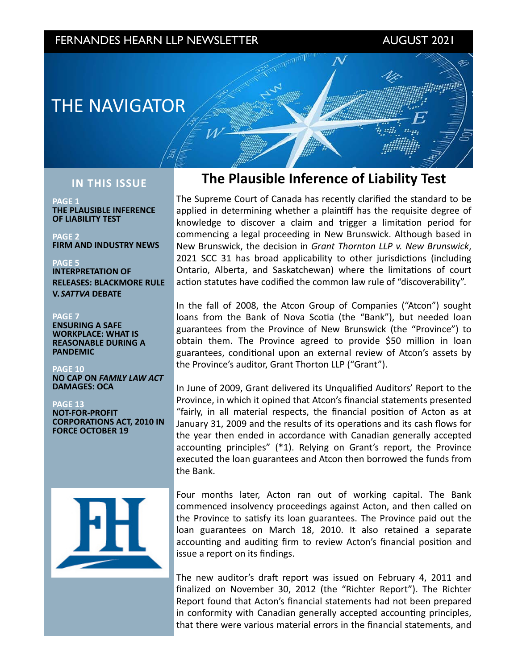## FERNANDES HEARN LLP NEWSLETTER AUGUST 2021

maji

# **THE NAVIGATOR**

### **IN THIS ISSUE**

**PAGE 1 THE PLAUSIBLE INFERENCE OF LIABILITY TEST** 

**PAGE 2 FIRM AND INDUSTRY NEWS** 

**PAGE 5 INTERPRETATION OF RELEASES: BLACKMORE RULE V.** *SATTVA* **DEBATE**

### **PAGE 7**

**ENSURING A SAFE WORKPLACE: WHAT IS REASONABLE DURING A PANDEMIC** 

**PAGE 10 NO CAP ON FAMILY LAW ACT** DAMAGES: OCA

### **PAGE 13**

**NOT-FOR-PROFIT CORPORATIONS ACT, 2010 IN FORCE OCTOBER 19** 

# **The Plausible Inference of Liability Test**

The Supreme Court of Canada has recently clarified the standard to be applied in determining whether a plaintiff has the requisite degree of knowledge to discover a claim and trigger a limitation period for commencing a legal proceeding in New Brunswick. Although based in New Brunswick, the decision in Grant Thornton LLP v. New Brunswick, 2021 SCC 31 has broad applicability to other jurisdictions (including Ontario, Alberta, and Saskatchewan) where the limitations of court action statutes have codified the common law rule of "discoverability".

In the fall of 2008, the Atcon Group of Companies ("Atcon") sought loans from the Bank of Nova Scotia (the "Bank"), but needed loan guarantees from the Province of New Brunswick (the "Province") to obtain them. The Province agreed to provide \$50 million in loan guarantees, conditional upon an external review of Atcon's assets by the Province's auditor, Grant Thorton LLP ("Grant").

In June of 2009, Grant delivered its Unqualified Auditors' Report to the Province, in which it opined that Atcon's financial statements presented "fairly, in all material respects, the financial position of Acton as at January 31, 2009 and the results of its operations and its cash flows for the year then ended in accordance with Canadian generally accepted accounting principles"  $(*1)$ . Relying on Grant's report, the Province executed the loan guarantees and Atcon then borrowed the funds from the Bank.

Four months later, Acton ran out of working capital. The Bank commenced insolvency proceedings against Acton, and then called on the Province to satisfy its loan guarantees. The Province paid out the loan guarantees on March 18, 2010. It also retained a separate accounting and auditing firm to review Acton's financial position and issue a report on its findings.

The new auditor's draft report was issued on February 4, 2011 and finalized on November 30, 2012 (the "Richter Report"). The Richter Report found that Acton's financial statements had not been prepared in conformity with Canadian generally accepted accounting principles, that there were various material errors in the financial statements, and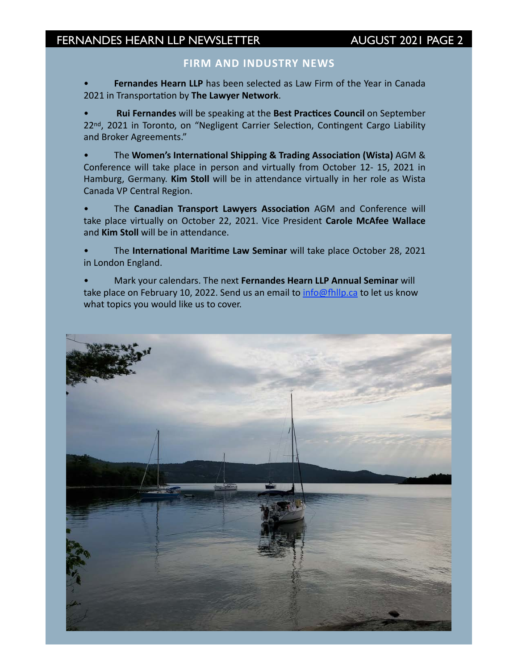### **FIRM AND INDUSTRY NEWS**

Fernandes Hearn LLP has been selected as Law Firm of the Year in Canada 2021 in Transportation by The Lawyer Network.

**Rui Fernandes** will be speaking at the Best Practices Council on September 22<sup>nd</sup>, 2021 in Toronto, on "Negligent Carrier Selection, Contingent Cargo Liability and Broker Agreements."

The Women's International Shipping & Trading Association (Wista) AGM & Conference will take place in person and virtually from October 12- 15, 2021 in Hamburg, Germany. Kim Stoll will be in attendance virtually in her role as Wista Canada VP Central Region.

The **Canadian Transport Lawyers Association** AGM and Conference will take place virtually on October 22, 2021. Vice President Carole McAfee Wallace and **Kim Stoll** will be in attendance.

The International Maritime Law Seminar will take place October 28, 2021 in London England.

Mark your calendars. The next Fernandes Hearn LLP Annual Seminar will take place on February 10, 2022. Send us an email to  $info@fhllp.ca$  to let us know what topics you would like us to cover.

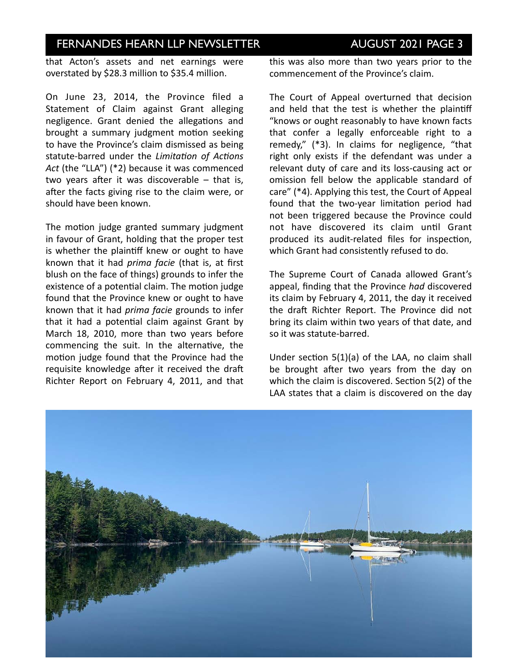that Acton's assets and net earnings were overstated by \$28.3 million to \$35.4 million.

On June 23, 2014, the Province filed a Statement of Claim against Grant alleging negligence. Grant denied the allegations and brought a summary judgment motion seeking to have the Province's claim dismissed as being statute-barred under the *Limitation of Actions* Act (the "LLA") (\*2) because it was commenced two years after it was discoverable  $-$  that is, after the facts giving rise to the claim were, or should have been known.

The motion judge granted summary judgment in favour of Grant, holding that the proper test is whether the plaintiff knew or ought to have known that it had *prima facie* (that is, at first blush on the face of things) grounds to infer the existence of a potential claim. The motion judge found that the Province knew or ought to have known that it had *prima facie* grounds to infer that it had a potential claim against Grant by March 18, 2010, more than two years before commencing the suit. In the alternative, the motion judge found that the Province had the requisite knowledge after it received the draft Richter Report on February 4, 2011, and that

this was also more than two years prior to the commencement of the Province's claim.

The Court of Appeal overturned that decision and held that the test is whether the plaintiff "knows or ought reasonably to have known facts that confer a legally enforceable right to a remedy,"  $(*3)$ . In claims for negligence, "that right only exists if the defendant was under a relevant duty of care and its loss-causing act or omission fell below the applicable standard of care" (\*4). Applying this test, the Court of Appeal found that the two-year limitation period had not been triggered because the Province could not have discovered its claim until Grant produced its audit-related files for inspection, which Grant had consistently refused to do.

The Supreme Court of Canada allowed Grant's appeal, finding that the Province had discovered its claim by February 4, 2011, the day it received the draft Richter Report. The Province did not bring its claim within two years of that date, and so it was statute-barred.

Under section  $5(1)(a)$  of the LAA, no claim shall be brought after two years from the day on which the claim is discovered. Section  $5(2)$  of the LAA states that a claim is discovered on the day

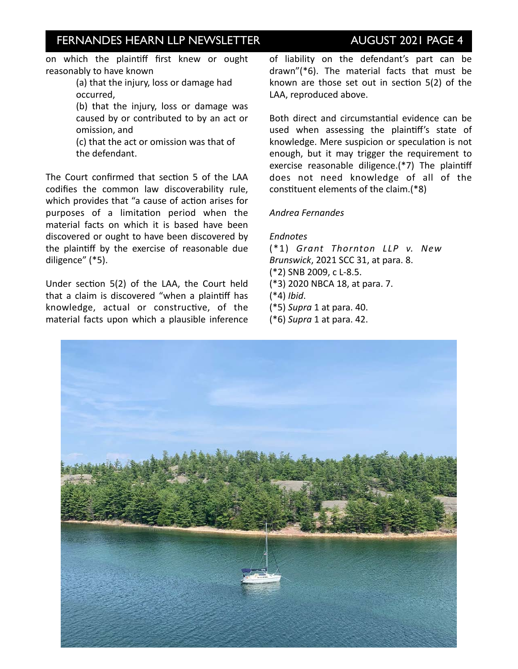on which the plaintiff first knew or ought reasonably to have known

> (a) that the injury, loss or damage had occurred,

(b) that the injury, loss or damage was caused by or contributed to by an act or omission, and

(c) that the act or omission was that of the defendant.

The Court confirmed that section 5 of the LAA codifies the common law discoverability rule, which provides that "a cause of action arises for purposes of a limitation period when the material facts on which it is based have been discovered or ought to have been discovered by the plaintiff by the exercise of reasonable due diligence" (\*5).

Under section  $5(2)$  of the LAA, the Court held that a claim is discovered "when a plaintiff has knowledge, actual or constructive, of the material facts upon which a plausible inference of liability on the defendant's part can be  $d$ rawn"( $*6$ ). The material facts that must be known are those set out in section  $5(2)$  of the LAA, reproduced above.

Both direct and circumstantial evidence can be used when assessing the plaintiff's state of knowledge. Mere suspicion or speculation is not enough, but it may trigger the requirement to exercise reasonable diligence.(\*7) The plaintiff does not need knowledge of all of the constituent elements of the claim.(\*8)

### *Andrea Fernandes*

### *Endnotes*

(\*1) Grant Thornton LLP v. New *Brunswick*, 2021 SCC 31, at para. 8. (\*2) SNB 2009, c L-8.5. (\*3) 2020 NBCA 18, at para. 7. (\*4) *Ibid*. (\*5) *Supra* 1 at para. 40. (\*6) *Supra* 1 at para. 42. 

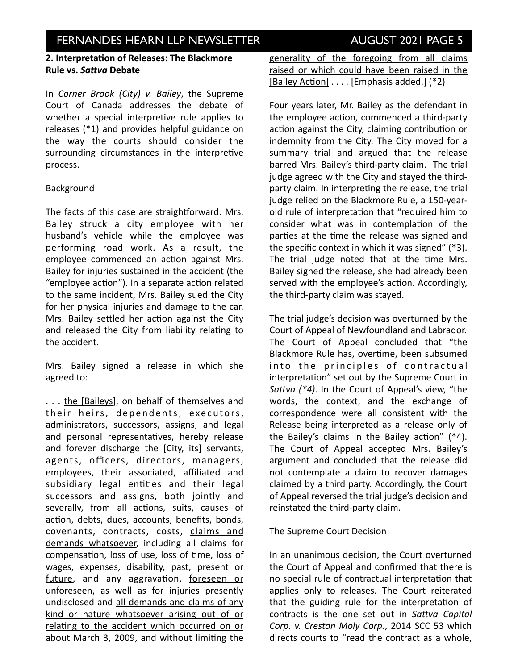## **INVESTOR IN THE NEWSLETTER AUGUST 2021 PAGE 5**

### **2. Interpretation of Releases: The Blackmore Rule vs. Sattva Debate**

In *Corner Brook (City)* v. Bailey, the Supreme Court of Canada addresses the debate of whether a special interpretive rule applies to releases  $(*1)$  and provides helpful guidance on the way the courts should consider the surrounding circumstances in the interpretive process. 

### Background

The facts of this case are straightforward. Mrs. Bailey struck a city employee with her husband's vehicle while the employee was performing road work. As a result, the employee commenced an action against Mrs. Bailey for injuries sustained in the accident (the "employee action"). In a separate action related to the same incident, Mrs. Bailey sued the City for her physical injuries and damage to the car. Mrs. Bailey settled her action against the City and released the City from liability relating to the accident.

Mrs. Bailey signed a release in which she agreed to:

... the [Baileys], on behalf of themselves and their heirs, dependents, executors, administrators, successors, assigns, and legal and personal representatives, hereby release and forever discharge the [City, its] servants, agents, officers, directors, managers, employees, their associated, affiliated and subsidiary legal entities and their legal successors and assigns, both jointly and severally, from all actions, suits, causes of action, debts, dues, accounts, benefits, bonds, covenants, contracts, costs, claims and demands whatsoever, including all claims for compensation, loss of use, loss of time, loss of wages, expenses, disability, past, present or future, and any aggravation, foreseen or unforeseen, as well as for injuries presently undisclosed and all demands and claims of any kind or nature whatsoever arising out of or relating to the accident which occurred on or about March 3, 2009, and without limiting the generality of the foregoing from all claims raised or which could have been raised in the [Bailey Action] . . . . [Emphasis added.] (\*2)

Four years later, Mr. Bailey as the defendant in the employee action, commenced a third-party action against the City, claiming contribution or indemnity from the City. The City moved for a summary trial and argued that the release barred Mrs. Bailey's third-party claim. The trial judge agreed with the City and stayed the thirdparty claim. In interpreting the release, the trial judge relied on the Blackmore Rule, a 150-yearold rule of interpretation that "required him to consider what was in contemplation of the parties at the time the release was signed and the specific context in which it was signed"  $(*3)$ . The trial judge noted that at the time Mrs. Bailey signed the release, she had already been served with the employee's action. Accordingly, the third-party claim was stayed.

The trial judge's decision was overturned by the Court of Appeal of Newfoundland and Labrador. The Court of Appeal concluded that "the Blackmore Rule has, overtime, been subsumed into the principles of contractual interpretation" set out by the Supreme Court in *Sattva* (\*4). In the Court of Appeal's view, "the words, the context, and the exchange of correspondence were all consistent with the Release being interpreted as a release only of the Bailey's claims in the Bailey action"  $(*4)$ . The Court of Appeal accepted Mrs. Bailey's argument and concluded that the release did not contemplate a claim to recover damages claimed by a third party. Accordingly, the Court of Appeal reversed the trial judge's decision and reinstated the third-party claim.

### The Supreme Court Decision

In an unanimous decision, the Court overturned the Court of Appeal and confirmed that there is no special rule of contractual interpretation that applies only to releases. The Court reiterated that the guiding rule for the interpretation of contracts is the one set out in Sattva Capital Corp. v. Creston Moly Corp., 2014 SCC 53 which directs courts to "read the contract as a whole.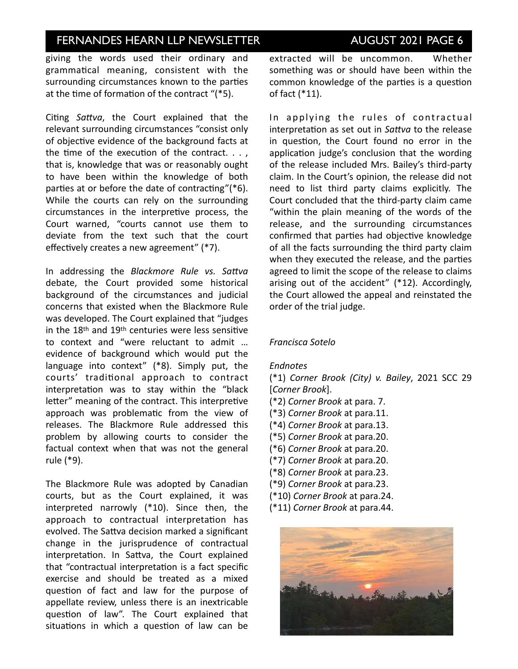## **INVESTOR IN THE NEWSLETTER AUGUST 2021 PAGE 6**

giving the words used their ordinary and grammatical meaning, consistent with the surrounding circumstances known to the parties at the time of formation of the contract  $"$ (\*5).

Citing *Sattva*, the Court explained that the relevant surrounding circumstances "consist only of objective evidence of the background facts at the time of the execution of the contract.  $\ldots$ , that is, knowledge that was or reasonably ought to have been within the knowledge of both parties at or before the date of contracting"( $*6$ ). While the courts can rely on the surrounding circumstances in the interpretive process, the Court warned, "courts cannot use them to deviate from the text such that the court effectively creates a new agreement" (\*7).

In addressing the *Blackmore Rule vs. Sattva* debate, the Court provided some historical background of the circumstances and judicial concerns that existed when the Blackmore Rule was developed. The Court explained that "judges in the  $18<sup>th</sup>$  and  $19<sup>th</sup>$  centuries were less sensitive to context and "were reluctant to admit ... evidence of background which would put the language into context" (\*8). Simply put, the courts' traditional approach to contract interpretation was to stay within the "black letter" meaning of the contract. This interpretive approach was problematic from the view of releases. The Blackmore Rule addressed this problem by allowing courts to consider the factual context when that was not the general rule (\*9). 

The Blackmore Rule was adopted by Canadian courts, but as the Court explained, it was interpreted narrowly  $(*10)$ . Since then, the approach to contractual interpretation has evolved. The Sattva decision marked a significant change in the jurisprudence of contractual interpretation. In Sattva, the Court explained that "contractual interpretation is a fact specific exercise and should be treated as a mixed question of fact and law for the purpose of appellate review, unless there is an inextricable question of law". The Court explained that situations in which a question of law can be

extracted will be uncommon. Whether something was or should have been within the common knowledge of the parties is a question of fact  $(*11)$ .

In applying the rules of contractual interpretation as set out in *Sattva* to the release in question, the Court found no error in the application judge's conclusion that the wording of the release included Mrs. Bailey's third-party claim. In the Court's opinion, the release did not need to list third party claims explicitly. The Court concluded that the third-party claim came "within the plain meaning of the words of the release, and the surrounding circumstances confirmed that parties had objective knowledge of all the facts surrounding the third party claim when they executed the release, and the parties agreed to limit the scope of the release to claims arising out of the accident"  $(*12)$ . Accordingly, the Court allowed the appeal and reinstated the order of the trial judge.

### *Francisca Sotelo*

### *Endnotes*

(\*1) *Corner Brook (City) v. Bailey*, 2021 SCC 29 [*Corner Brook*]. 

- (\*2) *Corner Brook* at para. 7.
- (\*3) *Corner Brook* at para.11.
- (\*4) *Corner Brook* at para.13.
- (\*5) *Corner Brook* at para.20.
- (\*6) *Corner Brook* at para.20.
- (\*7) *Corner Brook* at para.20.
- (\*8) *Corner Brook* at para.23.
- (\*9) *Corner Brook* at para.23.
- (\*10) *Corner Brook* at para.24.
- (\*11) *Corner Brook* at para.44.

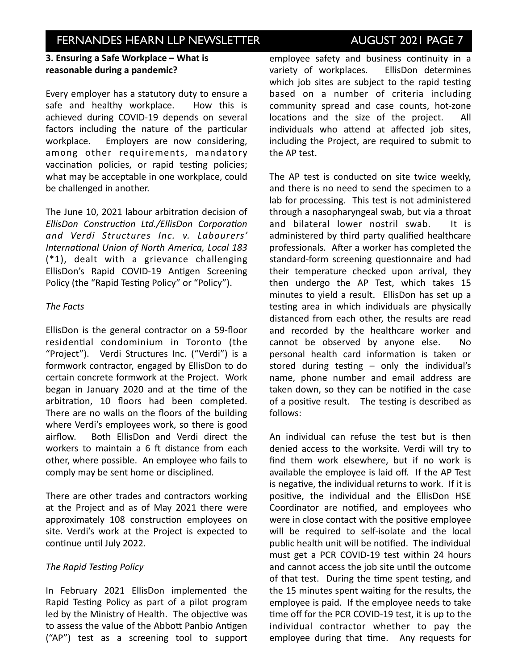## **INVESTOR IN THE NEWSLETTER ISSUE AUGUST 2021 PAGE 7**

### **3. Ensuring a Safe Workplace – What is** reasonable during a pandemic?

Every employer has a statutory duty to ensure a safe and healthy workplace. How this is achieved during COVID-19 depends on several factors including the nature of the particular workplace. Employers are now considering, among other requirements, mandatory vaccination policies, or rapid testing policies; what may be acceptable in one workplace, could be challenged in another.

The June 10, 2021 labour arbitration decision of **EllisDon** Construction Ltd./EllisDon Corporation *and Verdi Structures Inc. v. Labourers' International Union of North America, Local 183*  $(*1)$ , dealt with a grievance challenging EllisDon's Rapid COVID-19 Antigen Screening Policy (the "Rapid Testing Policy" or "Policy").

### *The Facts*

EllisDon is the general contractor on a 59-floor residential condominium in Toronto (the "Project"). Verdi Structures Inc. ("Verdi") is a formwork contractor, engaged by EllisDon to do certain concrete formwork at the Project. Work began in January 2020 and at the time of the arbitration, 10 floors had been completed. There are no walls on the floors of the building where Verdi's employees work, so there is good airflow. Both EllisDon and Verdi direct the workers to maintain a  $6$  ft distance from each other, where possible. An employee who fails to comply may be sent home or disciplined.

There are other trades and contractors working at the Project and as of May 2021 there were approximately 108 construction employees on site. Verdi's work at the Project is expected to continue until July 2022.

### **The Rapid Testing Policy**

In February 2021 EllisDon implemented the Rapid Testing Policy as part of a pilot program led by the Ministry of Health. The objective was to assess the value of the Abbott Panbio Antigen ("AP") test as a screening tool to support

employee safety and business continuity in a variety of workplaces. EllisDon determines which job sites are subject to the rapid testing based on a number of criteria including community spread and case counts, hot-zone locations and the size of the project. All individuals who attend at affected job sites, including the Project, are required to submit to the AP test.

The AP test is conducted on site twice weekly, and there is no need to send the specimen to a lab for processing. This test is not administered through a nasopharyngeal swab, but via a throat and bilateral lower nostril swab. It is administered by third party qualified healthcare professionals. After a worker has completed the standard-form screening questionnaire and had their temperature checked upon arrival, they then undergo the AP Test, which takes 15 minutes to yield a result. EllisDon has set up a testing area in which individuals are physically distanced from each other, the results are read and recorded by the healthcare worker and cannot be observed by anyone else. No personal health card information is taken or stored during testing  $-$  only the individual's name, phone number and email address are taken down, so they can be notified in the case of a positive result. The testing is described as follows: 

An individual can refuse the test but is then denied access to the worksite. Verdi will try to find them work elsewhere, but if no work is available the employee is laid off. If the AP Test is negative, the individual returns to work. If it is positive, the individual and the EllisDon HSE Coordinator are notified, and employees who were in close contact with the positive employee will be required to self-isolate and the local public health unit will be notified. The individual must get a PCR COVID-19 test within 24 hours and cannot access the job site until the outcome of that test. During the time spent testing, and the 15 minutes spent waiting for the results, the employee is paid. If the employee needs to take time off for the PCR COVID-19 test, it is up to the individual contractor whether to pay the employee during that time. Any requests for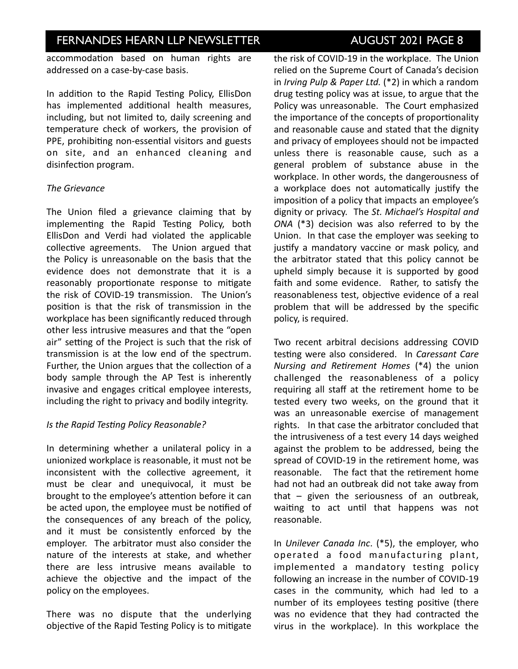## **INVESTOR IN THE STORE NEWSLETTER AUGUST 2021 PAGE 8**

accommodation based on human rights are addressed on a case-by-case basis.

In addition to the Rapid Testing Policy, EllisDon has implemented additional health measures, including, but not limited to, daily screening and temperature check of workers, the provision of PPE, prohibiting non-essential visitors and guests on site, and an enhanced cleaning and disinfection program.

### *The Grievance*

The Union filed a grievance claiming that by implementing the Rapid Testing Policy, both EllisDon and Verdi had violated the applicable collective agreements. The Union argued that the Policy is unreasonable on the basis that the evidence does not demonstrate that it is a reasonably proportionate response to mitigate the risk of COVID-19 transmission. The Union's position is that the risk of transmission in the workplace has been significantly reduced through other less intrusive measures and that the "open air" setting of the Project is such that the risk of transmission is at the low end of the spectrum. Further, the Union argues that the collection of a body sample through the AP Test is inherently invasive and engages critical employee interests, including the right to privacy and bodily integrity.

### *Is the Rapid Testing Policy Reasonable?*

In determining whether a unilateral policy in a unionized workplace is reasonable, it must not be inconsistent with the collective agreement, it must be clear and unequivocal, it must be brought to the employee's attention before it can be acted upon, the employee must be notified of the consequences of any breach of the policy, and it must be consistently enforced by the employer. The arbitrator must also consider the nature of the interests at stake, and whether there are less intrusive means available to achieve the objective and the impact of the policy on the employees.

There was no dispute that the underlying objective of the Rapid Testing Policy is to mitigate

the risk of COVID-19 in the workplace. The Union relied on the Supreme Court of Canada's decision in *Irving Pulp & Paper Ltd.* (\*2) in which a random drug testing policy was at issue, to argue that the Policy was unreasonable. The Court emphasized the importance of the concepts of proportionality and reasonable cause and stated that the dignity and privacy of employees should not be impacted unless there is reasonable cause, such as a general problem of substance abuse in the workplace. In other words, the dangerousness of a workplace does not automatically justify the imposition of a policy that impacts an employee's dignity or privacy. The St. Michael's Hospital and *ONA*  (\*3) decision was also referred to by the Union. In that case the employer was seeking to justify a mandatory vaccine or mask policy, and the arbitrator stated that this policy cannot be upheld simply because it is supported by good faith and some evidence. Rather, to satisfy the reasonableness test, objective evidence of a real problem that will be addressed by the specific policy, is required.

Two recent arbitral decisions addressing COVID testing were also considered. In *Caressant Care Nursing and Retirement Homes* (\*4) the union challenged the reasonableness of a policy requiring all staff at the retirement home to be tested every two weeks, on the ground that it was an unreasonable exercise of management rights. In that case the arbitrator concluded that the intrusiveness of a test every 14 days weighed against the problem to be addressed, being the spread of COVID-19 in the retirement home, was reasonable. The fact that the retirement home had not had an outbreak did not take away from that  $-$  given the seriousness of an outbreak, waiting to act until that happens was not reasonable. 

In *Unilever Canada Inc.* (\*5), the employer, who operated a food manufacturing plant, implemented a mandatory testing policy following an increase in the number of COVID-19 cases in the community, which had led to a number of its employees testing positive (there was no evidence that they had contracted the virus in the workplace). In this workplace the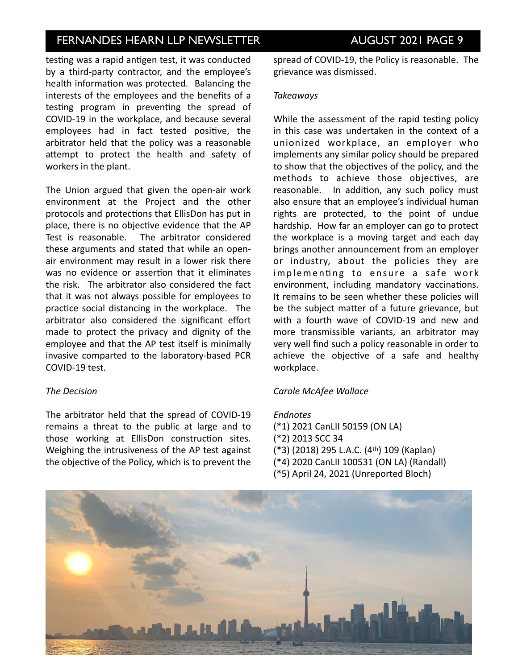## **INVESTOR IN THE NEWSLETTER AUGUST 2021 PAGE 9**

testing was a rapid antigen test, it was conducted by a third-party contractor, and the employee's health information was protected. Balancing the interests of the employees and the benefits of a testing program in preventing the spread of COVID-19 in the workplace, and because several employees had in fact tested positive, the arbitrator held that the policy was a reasonable attempt to protect the health and safety of workers in the plant.

The Union argued that given the open-air work environment at the Project and the other protocols and protections that EllisDon has put in place, there is no objective evidence that the AP Test is reasonable. The arbitrator considered these arguments and stated that while an openair environment may result in a lower risk there was no evidence or assertion that it eliminates the risk. The arbitrator also considered the fact that it was not always possible for employees to practice social distancing in the workplace. The arbitrator also considered the significant effort made to protect the privacy and dignity of the employee and that the AP test itself is minimally invasive comparted to the laboratory-based PCR COVID-19 test.

### *The Decision*

The arbitrator held that the spread of COVID-19 remains a threat to the public at large and to those working at EllisDon construction sites. Weighing the intrusiveness of the AP test against the objective of the Policy, which is to prevent the spread of COVID-19, the Policy is reasonable. The grievance was dismissed.

### *Takeaways*

While the assessment of the rapid testing policy in this case was undertaken in the context of a unionized workplace, an employer who implements any similar policy should be prepared to show that the objectives of the policy, and the methods to achieve those objectives, are reasonable. In addition, any such policy must also ensure that an employee's individual human rights are protected, to the point of undue hardship. How far an employer can go to protect the workplace is a moving target and each day brings another announcement from an employer or industry, about the policies they are implementing to ensure a safe work environment, including mandatory vaccinations. It remains to be seen whether these policies will be the subject matter of a future grievance, but with a fourth wave of COVID-19 and new and more transmissible variants, an arbitrator may very well find such a policy reasonable in order to achieve the objective of a safe and healthy workplace. 

### *Carole McAfee Wallace*

### *Endnotes*

- (\*1) 2021 CanLII 50159 (ON LA)
- (\*2) 2013 SCC 34
- (\*3) (2018) 295 L.A.C. (4<sup>th</sup>) 109 (Kaplan)
- (\*4) 2020 CanLII 100531 (ON LA) (Randall)
- (\*5) April 24, 2021 (Unreported Bloch)

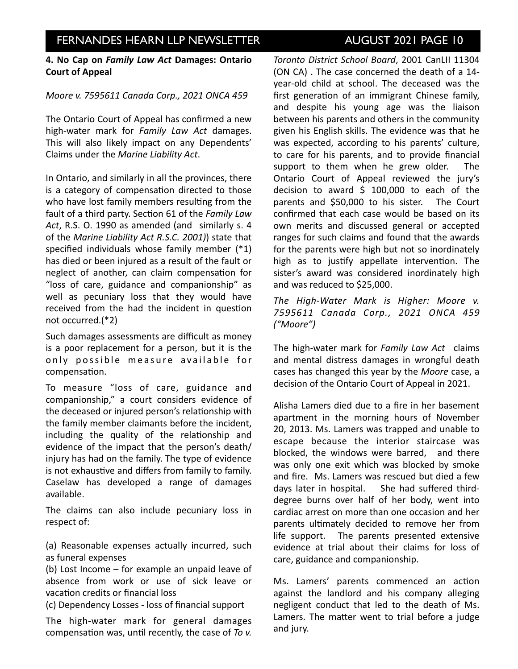### **4. No Cap on Family Law Act Damages: Ontario Court of Appeal**

### *Moore v. 7595611 Canada Corp., 2021 ONCA 459*

The Ontario Court of Appeal has confirmed a new high-water mark for *Family Law Act* damages. This will also likely impact on any Dependents' Claims under the *Marine Liability Act*. 

In Ontario, and similarly in all the provinces, there is a category of compensation directed to those who have lost family members resulting from the fault of a third party. Section 61 of the *Family Law* Act, R.S. O. 1990 as amended (and similarly s. 4 of the *Marine Liability Act R.S.C. 2001*)) state that specified individuals whose family member  $(*1)$ has died or been injured as a result of the fault or neglect of another, can claim compensation for "loss of care, guidance and companionship" as well as pecuniary loss that they would have received from the had the incident in question not occurred.(\*2)

Such damages assessments are difficult as money is a poor replacement for a person, but it is the only possible measure available for compensation.

To measure "loss of care, guidance and companionship," a court considers evidence of the deceased or injured person's relationship with the family member claimants before the incident, including the quality of the relationship and evidence of the impact that the person's death/ injury has had on the family. The type of evidence is not exhaustive and differs from family to family. Caselaw has developed a range of damages available. 

The claims can also include pecuniary loss in respect of:

(a) Reasonable expenses actually incurred, such as funeral expenses

(b) Lost Income - for example an unpaid leave of absence from work or use of sick leave or vacation credits or financial loss

(c) Dependency Losses - loss of financial support 

The high-water mark for general damages compensation was, until recently, the case of *To v.* 

*Toronto District School Board*, 2001 CanLII 11304 (ON CA). The case concerned the death of a 14year-old child at school. The deceased was the first generation of an immigrant Chinese family, and despite his young age was the liaison between his parents and others in the community given his English skills. The evidence was that he was expected, according to his parents' culture, to care for his parents, and to provide financial support to them when he grew older. The Ontario Court of Appeal reviewed the jury's decision to award  $$100,000$  to each of the parents and \$50,000 to his sister. The Court confirmed that each case would be based on its own merits and discussed general or accepted ranges for such claims and found that the awards for the parents were high but not so inordinately high as to justify appellate intervention. The sister's award was considered inordinately high and was reduced to \$25,000.

The High-Water Mark is Higher: Moore v. *7595611 Canada Corp., 2021 ONCA 459 ("Moore")* 

The high-water mark for *Family Law Act* claims and mental distress damages in wrongful death cases has changed this year by the Moore case, a decision of the Ontario Court of Appeal in 2021.

Alisha Lamers died due to a fire in her basement apartment in the morning hours of November 20, 2013. Ms. Lamers was trapped and unable to escape because the interior staircase was blocked, the windows were barred, and there was only one exit which was blocked by smoke and fire. Ms. Lamers was rescued but died a few days later in hospital. She had suffered thirddegree burns over half of her body, went into cardiac arrest on more than one occasion and her parents ultimately decided to remove her from life support. The parents presented extensive evidence at trial about their claims for loss of care, guidance and companionship.

Ms. Lamers' parents commenced an action against the landlord and his company alleging negligent conduct that led to the death of Ms. Lamers. The matter went to trial before a judge and jury.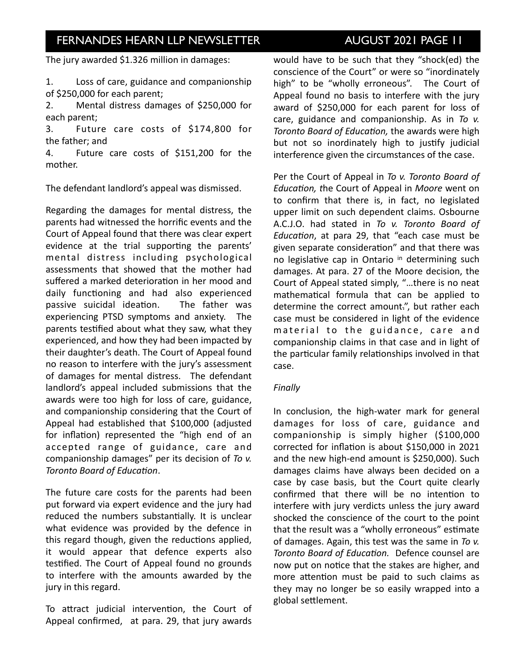The jury awarded  $$1.326$  million in damages:

1. Loss of care, guidance and companionship of \$250,000 for each parent;

2. Mental distress damages of \$250,000 for each parent;

3. Future care costs of \$174,800 for the father; and

4. Future care costs of \$151,200 for the mother. 

The defendant landlord's appeal was dismissed.

Regarding the damages for mental distress, the parents had witnessed the horrific events and the Court of Appeal found that there was clear expert evidence at the trial supporting the parents' mental distress including psychological assessments that showed that the mother had suffered a marked deterioration in her mood and daily functioning and had also experienced passive suicidal ideation. The father was experiencing PTSD symptoms and anxiety. The parents testified about what they saw, what they experienced, and how they had been impacted by their daughter's death. The Court of Appeal found no reason to interfere with the jury's assessment of damages for mental distress. The defendant landlord's appeal included submissions that the awards were too high for loss of care, guidance, and companionship considering that the Court of Appeal had established that \$100,000 (adjusted for inflation) represented the "high end of an accepted range of guidance, care and companionship damages" per its decision of To v. **Toronto Board of Education.** 

The future care costs for the parents had been put forward via expert evidence and the jury had reduced the numbers substantially. It is unclear what evidence was provided by the defence in this regard though, given the reductions applied, it would appear that defence experts also testified. The Court of Appeal found no grounds to interfere with the amounts awarded by the jury in this regard.

To attract judicial intervention, the Court of Appeal confirmed, at para. 29, that jury awards would have to be such that they "shock(ed) the conscience of the Court" or were so "inordinately high" to be "wholly erroneous". The Court of Appeal found no basis to interfere with the jury award of \$250,000 for each parent for loss of care, guidance and companionship. As in *To v. Toronto Board of Education,* the awards were high but not so inordinately high to justify judicial interference given the circumstances of the case.

Per the Court of Appeal in *To v. Toronto Board of Education, the Court of Appeal in Moore* went on to confirm that there is, in fact, no legislated upper limit on such dependent claims. Osbourne A.C.J.O. had stated in *To v. Toronto Board of Education*, at para 29, that "each case must be given separate consideration" and that there was no legislative cap in Ontario in determining such damages. At para. 27 of the Moore decision, the Court of Appeal stated simply, "...there is no neat mathematical formula that can be applied to determine the correct amount.", but rather each case must be considered in light of the evidence material to the guidance, care and companionship claims in that case and in light of the particular family relationships involved in that case. 

### *Finally*

In conclusion, the high-water mark for general damages for loss of care, guidance and companionship is simply higher (\$100,000 corrected for inflation is about \$150,000 in 2021 and the new high-end amount is \$250,000). Such damages claims have always been decided on a case by case basis, but the Court quite clearly confirmed that there will be no intention to interfere with jury verdicts unless the jury award shocked the conscience of the court to the point that the result was a "wholly erroneous" estimate of damages. Again, this test was the same in To v. Toronto Board of Education. Defence counsel are now put on notice that the stakes are higher, and more attention must be paid to such claims as they may no longer be so easily wrapped into a global settlement.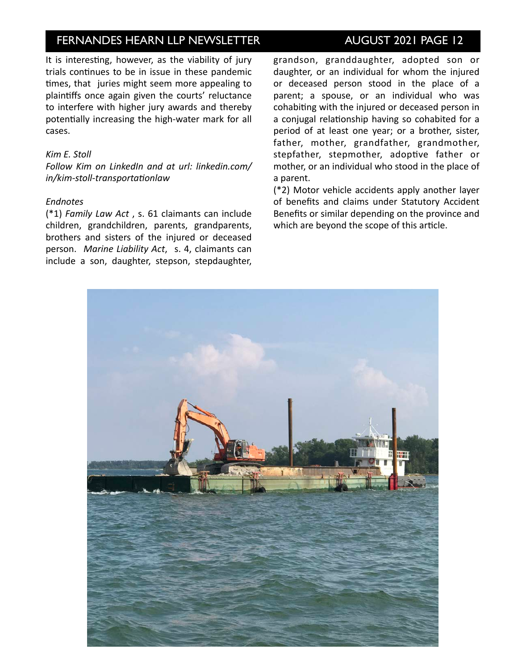It is interesting, however, as the viability of jury trials continues to be in issue in these pandemic times, that juries might seem more appealing to plaintiffs once again given the courts' reluctance to interfere with higher jury awards and thereby potentially increasing the high-water mark for all cases. 

### *Kim E. Stoll*

*Follow Kim on LinkedIn and at url: linkedin.com/ in/kim-stoll-transportationlaw* 

### *Endnotes*

(\*1) *Family Law Act*, s. 61 claimants can include children, grandchildren, parents, grandparents, brothers and sisters of the injured or deceased person. Marine Liability Act, s. 4, claimants can include a son, daughter, stepson, stepdaughter,

### grandson, granddaughter, adopted son or daughter, or an individual for whom the injured or deceased person stood in the place of a parent; a spouse, or an individual who was cohabiting with the injured or deceased person in a conjugal relationship having so cohabited for a period of at least one year; or a brother, sister, father, mother, grandfather, grandmother, stepfather, stepmother, adoptive father or mother, or an individual who stood in the place of

(\*2) Motor vehicle accidents apply another layer of benefits and claims under Statutory Accident Benefits or similar depending on the province and which are beyond the scope of this article.



a parent.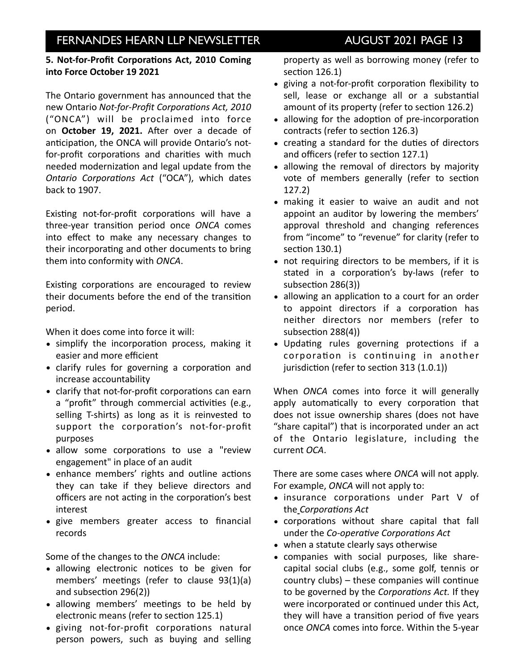### **5. Not-for-Profit Corporations Act, 2010 Coming into Force October 19 2021**

The Ontario government has announced that the new Ontario Not-for-Profit Corporations Act, 2010 ("ONCA") will be proclaimed into force on **October 19, 2021.** After over a decade of anticipation, the ONCA will provide Ontario's notfor-profit corporations and charities with much needed modernization and legal update from the *Ontario Corporations Act ("OCA"), which dates* back to 1907. 

Existing not-for-profit corporations will have a three-year transition period once ONCA comes into effect to make any necessary changes to their incorporating and other documents to bring them into conformity with *ONCA*.

Existing corporations are encouraged to review their documents before the end of the transition period. 

When it does come into force it will:

- simplify the incorporation process, making it easier and more efficient
- clarify rules for governing a corporation and increase accountability
- clarify that not-for-profit corporations can earn a "profit" through commercial activities (e.g., selling T-shirts) as long as it is reinvested to support the corporation's not-for-profit purposes
- allow some corporations to use a "review engagement" in place of an audit
- enhance members' rights and outline actions they can take if they believe directors and officers are not acting in the corporation's best interest
- give members greater access to financial records

Some of the changes to the *ONCA* include:

- allowing electronic notices to be given for members' meetings (refer to clause  $93(1)(a)$ and subsection  $296(2)$ )
- allowing members' meetings to be held by electronic means (refer to section 125.1)
- giving not-for-profit corporations natural person powers, such as buying and selling

property as well as borrowing money (refer to section  $126.1$ )

- giving a not-for-profit corporation flexibility to sell, lease or exchange all or a substantial amount of its property (refer to section 126.2)
- allowing for the adoption of pre-incorporation contracts (refer to section 126.3)
- creating a standard for the duties of directors and officers (refer to section 127.1)
- allowing the removal of directors by majority vote of members generally (refer to section 127.2)
- making it easier to waive an audit and not appoint an auditor by lowering the members' approval threshold and changing references from "income" to "revenue" for clarity (refer to section 130.1)
- not requiring directors to be members, if it is stated in a corporation's by-laws (refer to subsection 286(3))
- allowing an application to a court for an order to appoint directors if a corporation has neither directors nor members (refer to  $subsection 288(4)$ )
- Updating rules governing protections if a corporation is continuing in another jurisdiction (refer to section  $313(1.0.1)$ )

When *ONCA* comes into force it will generally apply automatically to every corporation that does not issue ownership shares (does not have "share capital") that is incorporated under an act of the Ontario legislature, including the current *OCA*. 

There are some cases where *ONCA* will not apply. For example, *ONCA* will not apply to:

- insurance corporations under Part V of the *Corporations* Act
- corporations without share capital that fall under the *Co-operative Corporations Act*
- when a statute clearly says otherwise
- companies with social purposes, like sharecapital social clubs (e.g., some golf, tennis or country  $clubs$ ) – these companies will continue to be governed by the *Corporations Act.* If they were incorporated or continued under this Act, they will have a transition period of five years once *ONCA* comes into force. Within the 5-year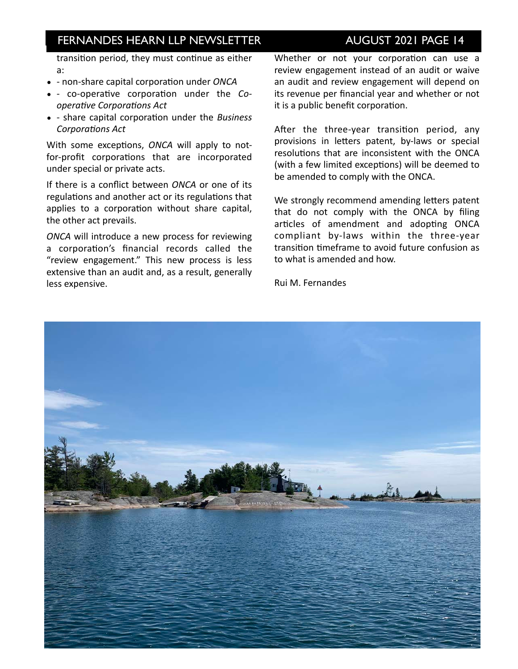## **INVESTOR IN EXAMPLE IS A FERNANDES HEARN LLP NEWSLETTER AUGUST 2021 PAGE 14**

transition period, they must continue as either a: 

- - non-share capital corporation under *ONCA*
- - co-operative corporation under the Co*operative Corporations Act*
- - share capital corporation under the *Business* **Corporations Act**

With some exceptions, *ONCA* will apply to notfor-profit corporations that are incorporated under special or private acts.

If there is a conflict between *ONCA* or one of its regulations and another act or its regulations that applies to a corporation without share capital, the other act prevails.

**ONCA** will introduce a new process for reviewing a corporation's financial records called the "review engagement." This new process is less extensive than an audit and, as a result, generally less expensive.

Whether or not your corporation can use a review engagement instead of an audit or waive an audit and review engagement will depend on its revenue per financial year and whether or not it is a public benefit corporation.

After the three-year transition period, any provisions in letters patent, by-laws or special resolutions that are inconsistent with the ONCA (with a few limited exceptions) will be deemed to be amended to comply with the ONCA.

We strongly recommend amending letters patent that do not comply with the ONCA by filing articles of amendment and adopting ONCA compliant by-laws within the three-year transition timeframe to avoid future confusion as to what is amended and how.

Rui M. Fernandes